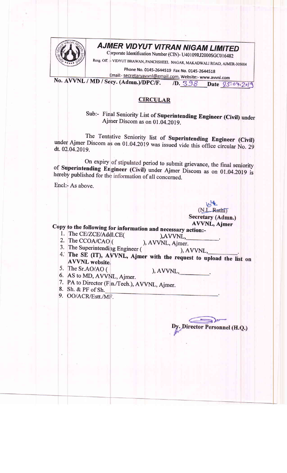

## **AJMER VIDYUT VITRAN NIGAM LIMITED**

Corporate Identification Number (CIN)- U40109RJ2000SGC016482

Resg. Off. :- VIDYUT BHAWAN, PANCHSHEEL NAGAR, MAKADWALI ROAD, AJMER-305004

Phone No. 0145-2644519 Fax No. 0145-2644518

Email:- secretaryavvnl@gmail.com, Website:- www.avvnl.com No. AVVNL / MD / Secy. (Admn.)/DPC/F. 1D. 398 Date 25:04.2019

## **CIRCULAR**

Sub:- Final Seniority List of Superintending Engineer (Civil) under Ajmer Discom as on 01.04.2019.

The Tentative Seniority list of Superintending Engineer (Civil) under Ajmer Discom as on 01.04.2019 was issued vide this office circular No. 29 dt. 02.04.2019.

On expiry of stipulated period to submit grievance, the final seniority of Superintending Engineer (Civil) under Ajmer Discom as on 01.04.2019 is hereby published for the information of all concerned.

Encl:- As above.

(N.L. Rathi) Secretary (Admn.) **AVVNL, Ajmer** 

Copy to the following for information and necessary action:-

- 1. The CE/ZCE/Addl.CE( 2. The CCOA/CAO (
- $AVVNL$ , ), AVVNL, Ajmer.
- 3. The Superintending Engineer (
- 
- $AVVNL$ , 4. The SE (IT), AVVNL, Ajmer with the request to upload the list on **AVVNL** website.
- 5. The Sr.AO/AO (

 $AVVNL$ ,

- 6. AS to MD, AVVNL, Ajmer.
- 7. PA to Director (Fin./Tech.), AVVNL, Ajmer.
- 8. Sh. & PF of Sh.
- 9. OO/ACR/Estt./MF.

)irector Personnel (H.Q.)